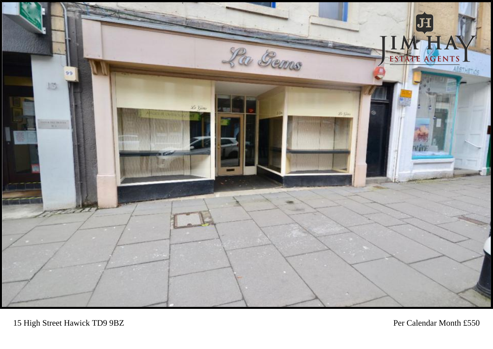

15 High Street Hawick TD9 9BZ

Per Calendar Month £550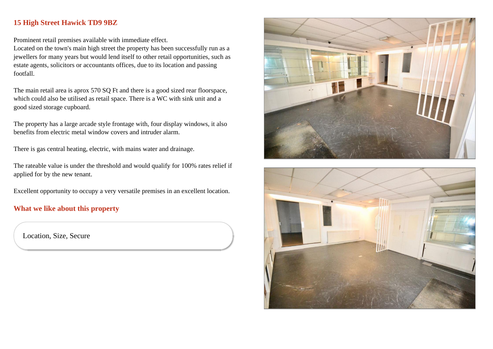## **15 High Street Hawick TD9 9BZ**

Prominent retail premises available with immediate effect.

Located on the town's main high street the property has been successfully run as a jewellers for many years but would lend itself to other retail opportunities, such as estate agents, solicitors or accountants offices, due to its location and passing footfall.

The main retail area is aprox 570 SQ Ft and there is a good sized rear floorspace, which could also be utilised as retail space. There is a WC with sink unit and a good sized storage cupboard.

The property has a large arcade style frontage with, four display windows, it also benefits from electric metal window covers and intruder alarm.

There is gas central heating, electric, with mains water and drainage.

The rateable value is under the threshold and would qualify for 100% rates relief if applied for by the new tenant.

Excellent opportunity to occupy a very versatile premises in an excellent location.

**What we like about this property**

Location, Size, Secure



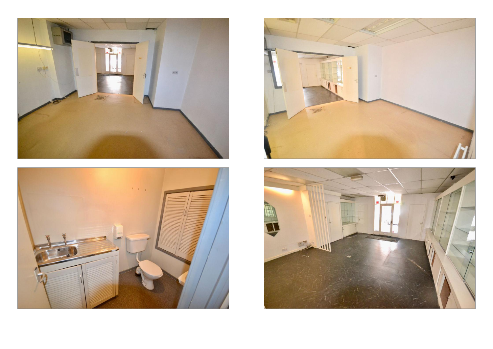